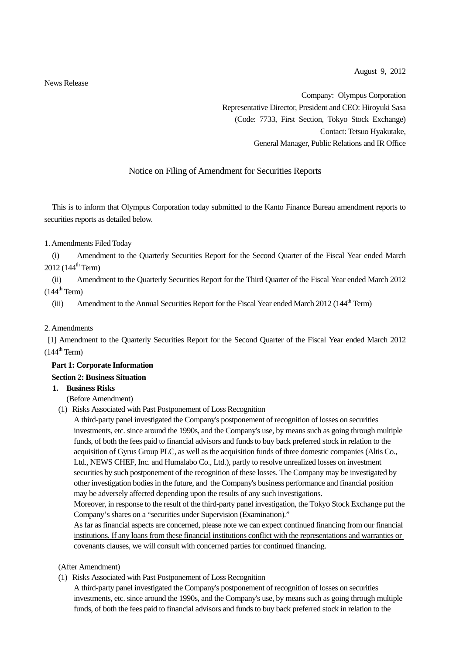News Release

Company: Olympus Corporation Representative Director, President and CEO: Hiroyuki Sasa (Code: 7733, First Section, Tokyo Stock Exchange) Contact: Tetsuo Hyakutake, General Manager, Public Relations and IR Office

## Notice on Filing of Amendment for Securities Reports

This is to inform that Olympus Corporation today submitted to the Kanto Finance Bureau amendment reports to securities reports as detailed below.

1. Amendments Filed Today

(i) Amendment to the Quarterly Securities Report for the Second Quarter of the Fiscal Year ended March  $2012$  (144<sup>th</sup> Term)

(ii) Amendment to the Quarterly Securities Report for the Third Quarter of the Fiscal Year ended March 2012  $(144^{\text{th}}$  Term)

(iii) Amendment to the Annual Securities Report for the Fiscal Year ended March 2012 (144<sup>th</sup> Term)

#### 2. Amendments

[1] Amendment to the Quarterly Securities Report for the Second Quarter of the Fiscal Year ended March 2012  $(144^{\text{th}}$  Term)

# **Part 1: Corporate Information**

## **Section 2: Business Situation**

## **1. Business Risks**

(Before Amendment)

(1) Risks Associated with Past Postponement of Loss Recognition

A third-party panel investigated the Company's postponement of recognition of losses on securities investments, etc. since around the 1990s, and the Company's use, by means such as going through multiple funds, of both the fees paid to financial advisors and funds to buy back preferred stock in relation to the acquisition of Gyrus Group PLC, as well as the acquisition funds of three domestic companies (Altis Co., Ltd., NEWS CHEF, Inc. and Humalabo Co., Ltd.), partly to resolve unrealized losses on investment securities by such postponement of the recognition of these losses. The Company may be investigated by other investigation bodies in the future, and the Company's business performance and financial position may be adversely affected depending upon the results of any such investigations.

Moreover, in response to the result of the third-party panel investigation, the Tokyo Stock Exchange put the Company's shares on a "securities under Supervision (Examination)."

As far as financial aspects are concerned, please note we can expect continued financing from our financial institutions. If any loans from these financial institutions conflict with the representations and warranties or covenants clauses, we will consult with concerned parties for continued financing.

#### (After Amendment)

(1) Risks Associated with Past Postponement of Loss Recognition

A third-party panel investigated the Company's postponement of recognition of losses on securities investments, etc. since around the 1990s, and the Company's use, by means such as going through multiple funds, of both the fees paid to financial advisors and funds to buy back preferred stock in relation to the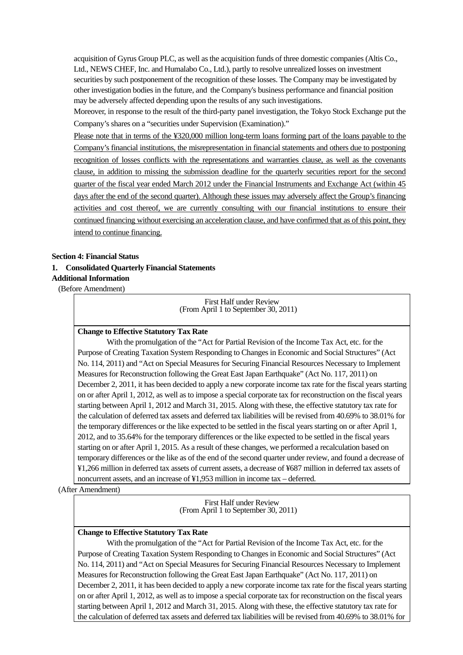acquisition of Gyrus Group PLC, as well as the acquisition funds of three domestic companies (Altis Co., Ltd., NEWS CHEF, Inc. and Humalabo Co., Ltd.), partly to resolve unrealized losses on investment securities by such postponement of the recognition of these losses. The Company may be investigated by other investigation bodies in the future, and the Company's business performance and financial position may be adversely affected depending upon the results of any such investigations.

Moreover, in response to the result of the third-party panel investigation, the Tokyo Stock Exchange put the Company's shares on a "securities under Supervision (Examination)."

Please note that in terms of the ¥320,000 million long-term loans forming part of the loans payable to the Company's financial institutions, the misrepresentation in financial statements and others due to postponing recognition of losses conflicts with the representations and warranties clause, as well as the covenants clause, in addition to missing the submission deadline for the quarterly securities report for the second quarter of the fiscal year ended March 2012 under the Financial Instruments and Exchange Act (within 45 days after the end of the second quarter). Although these issues may adversely affect the Group's financing activities and cost thereof, we are currently consulting with our financial institutions to ensure their continued financing without exercising an acceleration clause, and have confirmed that as of this point, they intend to continue financing.

#### **Section 4: Financial Status**

#### **1. Consolidated Quarterly Financial Statements**

#### **Additional Information**

(Before Amendment)

First Half under Review (From April 1 to September 30, 2011)

#### **Change to Effective Statutory Tax Rate**

 With the promulgation of the "Act for Partial Revision of the Income Tax Act, etc. for the Purpose of Creating Taxation System Responding to Changes in Economic and Social Structures" (Act No. 114, 2011) and "Act on Special Measures for Securing Financial Resources Necessary to Implement Measures for Reconstruction following the Great East Japan Earthquake" (Act No. 117, 2011) on December 2, 2011, it has been decided to apply a new corporate income tax rate for the fiscal years starting on or after April 1, 2012, as well as to impose a special corporate tax for reconstruction on the fiscal years starting between April 1, 2012 and March 31, 2015. Along with these, the effective statutory tax rate for the calculation of deferred tax assets and deferred tax liabilities will be revised from 40.69% to 38.01% for the temporary differences or the like expected to be settled in the fiscal years starting on or after April 1, 2012, and to 35.64% for the temporary differences or the like expected to be settled in the fiscal years starting on or after April 1, 2015. As a result of these changes, we performed a recalculation based on temporary differences or the like as of the end of the second quarter under review, and found a decrease of ¥1,266 million in deferred tax assets of current assets, a decrease of ¥687 million in deferred tax assets of noncurrent assets, and an increase of ¥1,953 million in income tax – deferred.

(After Amendment)

First Half under Review (From April 1 to September 30, 2011)

#### **Change to Effective Statutory Tax Rate**

 With the promulgation of the "Act for Partial Revision of the Income Tax Act, etc. for the Purpose of Creating Taxation System Responding to Changes in Economic and Social Structures" (Act No. 114, 2011) and "Act on Special Measures for Securing Financial Resources Necessary to Implement Measures for Reconstruction following the Great East Japan Earthquake" (Act No. 117, 2011) on December 2, 2011, it has been decided to apply a new corporate income tax rate for the fiscal years starting on or after April 1, 2012, as well as to impose a special corporate tax for reconstruction on the fiscal years starting between April 1, 2012 and March 31, 2015. Along with these, the effective statutory tax rate for the calculation of deferred tax assets and deferred tax liabilities will be revised from 40.69% to 38.01% for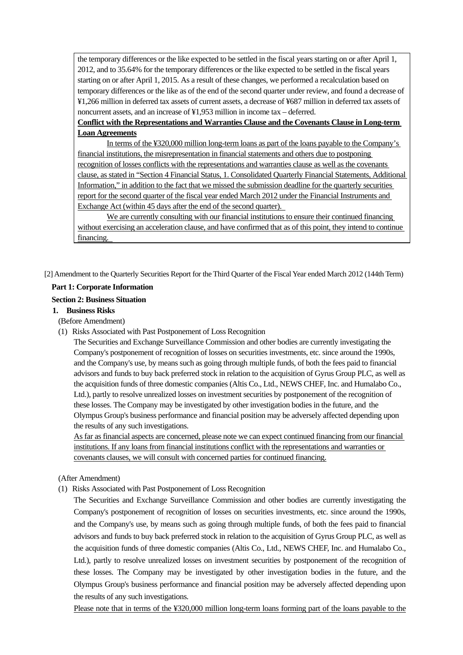the temporary differences or the like expected to be settled in the fiscal years starting on or after April 1, 2012, and to 35.64% for the temporary differences or the like expected to be settled in the fiscal years starting on or after April 1, 2015. As a result of these changes, we performed a recalculation based on temporary differences or the like as of the end of the second quarter under review, and found a decrease of ¥1,266 million in deferred tax assets of current assets, a decrease of ¥687 million in deferred tax assets of noncurrent assets, and an increase of ¥1,953 million in income tax – deferred.

## **Conflict with the Representations and Warranties Clause and the Covenants Clause in Long-term Loan Agreements**

 In terms of the ¥320,000 million long-term loans as part of the loans payable to the Company's financial institutions, the misrepresentation in financial statements and others due to postponing recognition of losses conflicts with the representations and warranties clause as well as the covenants clause, as stated in "Section 4 Financial Status, 1. Consolidated Quarterly Financial Statements, Additional Information," in addition to the fact that we missed the submission deadline for the quarterly securities report for the second quarter of the fiscal year ended March 2012 under the Financial Instruments and Exchange Act (within 45 days after the end of the second quarter).

 We are currently consulting with our financial institutions to ensure their continued financing without exercising an acceleration clause, and have confirmed that as of this point, they intend to continue financing.

[2] Amendment to the Quarterly Securities Report for the Third Quarter of the Fiscal Year ended March 2012 (144th Term)

## **Part 1: Corporate Information**

## **Section 2: Business Situation**

## **1. Business Risks**

(Before Amendment)

(1) Risks Associated with Past Postponement of Loss Recognition

The Securities and Exchange Surveillance Commission and other bodies are currently investigating the Company's postponement of recognition of losses on securities investments, etc. since around the 1990s, and the Company's use, by means such as going through multiple funds, of both the fees paid to financial advisors and funds to buy back preferred stock in relation to the acquisition of Gyrus Group PLC, as well as the acquisition funds of three domestic companies (Altis Co., Ltd., NEWS CHEF, Inc. and Humalabo Co., Ltd.), partly to resolve unrealized losses on investment securities by postponement of the recognition of these losses. The Company may be investigated by other investigation bodies in the future, and the Olympus Group's business performance and financial position may be adversely affected depending upon the results of any such investigations.

As far as financial aspects are concerned, please note we can expect continued financing from our financial institutions. If any loans from financial institutions conflict with the representations and warranties or covenants clauses, we will consult with concerned parties for continued financing.

## (After Amendment)

(1) Risks Associated with Past Postponement of Loss Recognition

The Securities and Exchange Surveillance Commission and other bodies are currently investigating the Company's postponement of recognition of losses on securities investments, etc. since around the 1990s, and the Company's use, by means such as going through multiple funds, of both the fees paid to financial advisors and funds to buy back preferred stock in relation to the acquisition of Gyrus Group PLC, as well as the acquisition funds of three domestic companies (Altis Co., Ltd., NEWS CHEF, Inc. and Humalabo Co., Ltd.), partly to resolve unrealized losses on investment securities by postponement of the recognition of these losses. The Company may be investigated by other investigation bodies in the future, and the Olympus Group's business performance and financial position may be adversely affected depending upon the results of any such investigations.

Please note that in terms of the ¥320,000 million long-term loans forming part of the loans payable to the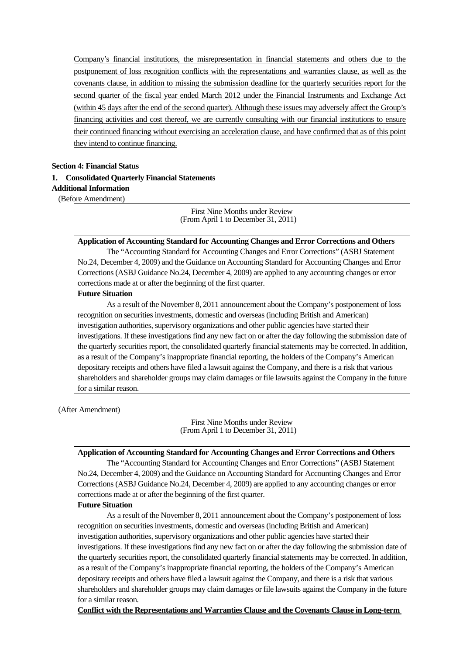Company's financial institutions, the misrepresentation in financial statements and others due to the postponement of loss recognition conflicts with the representations and warranties clause, as well as the covenants clause, in addition to missing the submission deadline for the quarterly securities report for the second quarter of the fiscal year ended March 2012 under the Financial Instruments and Exchange Act (within 45 days after the end of the second quarter). Although these issues may adversely affect the Group's financing activities and cost thereof, we are currently consulting with our financial institutions to ensure their continued financing without exercising an acceleration clause, and have confirmed that as of this point they intend to continue financing.

## **Section 4: Financial Status 1. Consolidated Quarterly Financial Statements Additional Information**

(Before Amendment)

First Nine Months under Review (From April 1 to December 31, 2011)

### **Application of Accounting Standard for Accounting Changes and Error Corrections and Others**

 The "Accounting Standard for Accounting Changes and Error Corrections" (ASBJ Statement No.24, December 4, 2009) and the Guidance on Accounting Standard for Accounting Changes and Error Corrections (ASBJ Guidance No.24, December 4, 2009) are applied to any accounting changes or error corrections made at or after the beginning of the first quarter.

#### **Future Situation**

 As a result of the November 8, 2011 announcement about the Company's postponement of loss recognition on securities investments, domestic and overseas (including British and American) investigation authorities, supervisory organizations and other public agencies have started their investigations. If these investigations find any new fact on or after the day following the submission date of the quarterly securities report, the consolidated quarterly financial statements may be corrected. In addition, as a result of the Company's inappropriate financial reporting, the holders of the Company's American depositary receipts and others have filed a lawsuit against the Company, and there is a risk that various shareholders and shareholder groups may claim damages or file lawsuits against the Company in the future for a similar reason.

#### (After Amendment)

First Nine Months under Review (From April 1 to December 31, 2011)

#### **Application of Accounting Standard for Accounting Changes and Error Corrections and Others**

 The "Accounting Standard for Accounting Changes and Error Corrections" (ASBJ Statement No.24, December 4, 2009) and the Guidance on Accounting Standard for Accounting Changes and Error Corrections (ASBJ Guidance No.24, December 4, 2009) are applied to any accounting changes or error corrections made at or after the beginning of the first quarter.

#### **Future Situation**

 As a result of the November 8, 2011 announcement about the Company's postponement of loss recognition on securities investments, domestic and overseas (including British and American) investigation authorities, supervisory organizations and other public agencies have started their investigations. If these investigations find any new fact on or after the day following the submission date of the quarterly securities report, the consolidated quarterly financial statements may be corrected. In addition, as a result of the Company's inappropriate financial reporting, the holders of the Company's American depositary receipts and others have filed a lawsuit against the Company, and there is a risk that various shareholders and shareholder groups may claim damages or file lawsuits against the Company in the future for a similar reason.

**Conflict with the Representations and Warranties Clause and the Covenants Clause in Long-term**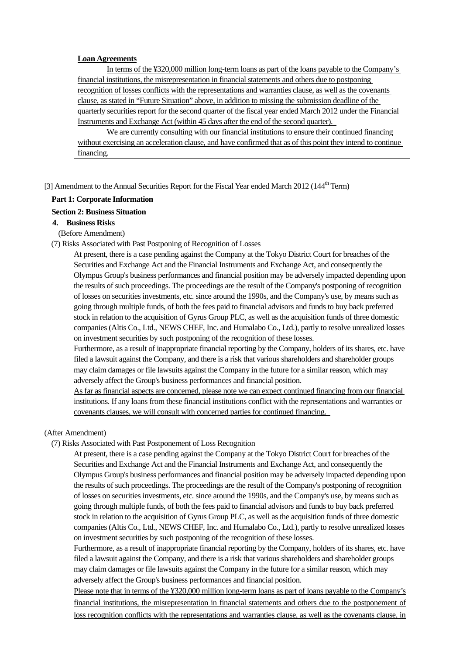#### **Loan Agreements**

 In terms of the ¥320,000 million long-term loans as part of the loans payable to the Company's financial institutions, the misrepresentation in financial statements and others due to postponing recognition of losses conflicts with the representations and warranties clause, as well as the covenants clause, as stated in "Future Situation" above, in addition to missing the submission deadline of the quarterly securities report for the second quarter of the fiscal year ended March 2012 under the Financial Instruments and Exchange Act (within 45 days after the end of the second quarter).

 We are currently consulting with our financial institutions to ensure their continued financing without exercising an acceleration clause, and have confirmed that as of this point they intend to continue financing.

[3] Amendment to the Annual Securities Report for the Fiscal Year ended March 2012 (144<sup>th</sup> Term)

#### **Part 1: Corporate Information**

#### **Section 2: Business Situation**

#### **4. Business Risks**

(Before Amendment)

(7) Risks Associated with Past Postponing of Recognition of Losses

At present, there is a case pending against the Company at the Tokyo District Court for breaches of the Securities and Exchange Act and the Financial Instruments and Exchange Act, and consequently the Olympus Group's business performances and financial position may be adversely impacted depending upon the results of such proceedings. The proceedings are the result of the Company's postponing of recognition of losses on securities investments, etc. since around the 1990s, and the Company's use, by means such as going through multiple funds, of both the fees paid to financial advisors and funds to buy back preferred stock in relation to the acquisition of Gyrus Group PLC, as well as the acquisition funds of three domestic companies (Altis Co., Ltd., NEWS CHEF, Inc. and Humalabo Co., Ltd.), partly to resolve unrealized losses on investment securities by such postponing of the recognition of these losses.

Furthermore, as a result of inappropriate financial reporting by the Company, holders of its shares, etc. have filed a lawsuit against the Company, and there is a risk that various shareholders and shareholder groups may claim damages or file lawsuits against the Company in the future for a similar reason, which may adversely affect the Group's business performances and financial position.

As far as financial aspects are concerned, please note we can expect continued financing from our financial institutions. If any loans from these financial institutions conflict with the representations and warranties or covenants clauses, we will consult with concerned parties for continued financing.

(After Amendment)

(7) Risks Associated with Past Postponement of Loss Recognition

At present, there is a case pending against the Company at the Tokyo District Court for breaches of the Securities and Exchange Act and the Financial Instruments and Exchange Act, and consequently the Olympus Group's business performances and financial position may be adversely impacted depending upon the results of such proceedings. The proceedings are the result of the Company's postponing of recognition of losses on securities investments, etc. since around the 1990s, and the Company's use, by means such as going through multiple funds, of both the fees paid to financial advisors and funds to buy back preferred stock in relation to the acquisition of Gyrus Group PLC, as well as the acquisition funds of three domestic companies (Altis Co., Ltd., NEWS CHEF, Inc. and Humalabo Co., Ltd.), partly to resolve unrealized losses on investment securities by such postponing of the recognition of these losses.

Furthermore, as a result of inappropriate financial reporting by the Company, holders of its shares, etc. have filed a lawsuit against the Company, and there is a risk that various shareholders and shareholder groups may claim damages or file lawsuits against the Company in the future for a similar reason, which may adversely affect the Group's business performances and financial position.

Please note that in terms of the ¥320,000 million long-term loans as part of loans payable to the Company's financial institutions, the misrepresentation in financial statements and others due to the postponement of loss recognition conflicts with the representations and warranties clause, as well as the covenants clause, in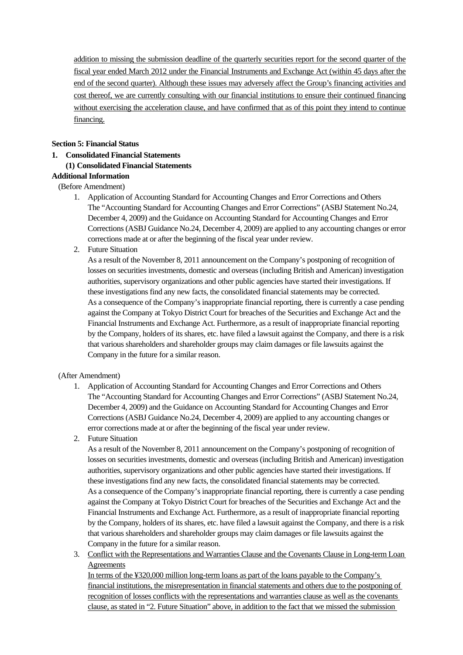addition to missing the submission deadline of the quarterly securities report for the second quarter of the fiscal year ended March 2012 under the Financial Instruments and Exchange Act (within 45 days after the end of the second quarter). Although these issues may adversely affect the Group's financing activities and cost thereof, we are currently consulting with our financial institutions to ensure their continued financing without exercising the acceleration clause, and have confirmed that as of this point they intend to continue financing.

## **Section 5: Financial Status**

**1. Consolidated Financial Statements** 

## **(1) Consolidated Financial Statements**

## **Additional Information**

## (Before Amendment)

- 1. Application of Accounting Standard for Accounting Changes and Error Corrections and Others The "Accounting Standard for Accounting Changes and Error Corrections" (ASBJ Statement No.24, December 4, 2009) and the Guidance on Accounting Standard for Accounting Changes and Error Corrections (ASBJ Guidance No.24, December 4, 2009) are applied to any accounting changes or error corrections made at or after the beginning of the fiscal year under review.
- 2. Future Situation

As a result of the November 8, 2011 announcement on the Company's postponing of recognition of losses on securities investments, domestic and overseas (including British and American) investigation authorities, supervisory organizations and other public agencies have started their investigations. If these investigations find any new facts, the consolidated financial statements may be corrected. As a consequence of the Company's inappropriate financial reporting, there is currently a case pending against the Company at Tokyo District Court for breaches of the Securities and Exchange Act and the Financial Instruments and Exchange Act. Furthermore, as a result of inappropriate financial reporting by the Company, holders of its shares, etc. have filed a lawsuit against the Company, and there is a risk that various shareholders and shareholder groups may claim damages or file lawsuits against the Company in the future for a similar reason.

## (After Amendment)

- 1. Application of Accounting Standard for Accounting Changes and Error Corrections and Others The "Accounting Standard for Accounting Changes and Error Corrections" (ASBJ Statement No.24, December 4, 2009) and the Guidance on Accounting Standard for Accounting Changes and Error Corrections (ASBJ Guidance No.24, December 4, 2009) are applied to any accounting changes or error corrections made at or after the beginning of the fiscal year under review.
- 2. Future Situation

As a result of the November 8, 2011 announcement on the Company's postponing of recognition of losses on securities investments, domestic and overseas (including British and American) investigation authorities, supervisory organizations and other public agencies have started their investigations. If these investigations find any new facts, the consolidated financial statements may be corrected. As a consequence of the Company's inappropriate financial reporting, there is currently a case pending against the Company at Tokyo District Court for breaches of the Securities and Exchange Act and the Financial Instruments and Exchange Act. Furthermore, as a result of inappropriate financial reporting by the Company, holders of its shares, etc. have filed a lawsuit against the Company, and there is a risk that various shareholders and shareholder groups may claim damages or file lawsuits against the Company in the future for a similar reason.

3. Conflict with the Representations and Warranties Clause and the Covenants Clause in Long-term Loan Agreements

In terms of the ¥320,000 million long-term loans as part of the loans payable to the Company's financial institutions, the misrepresentation in financial statements and others due to the postponing of recognition of losses conflicts with the representations and warranties clause as well as the covenants clause, as stated in "2. Future Situation" above, in addition to the fact that we missed the submission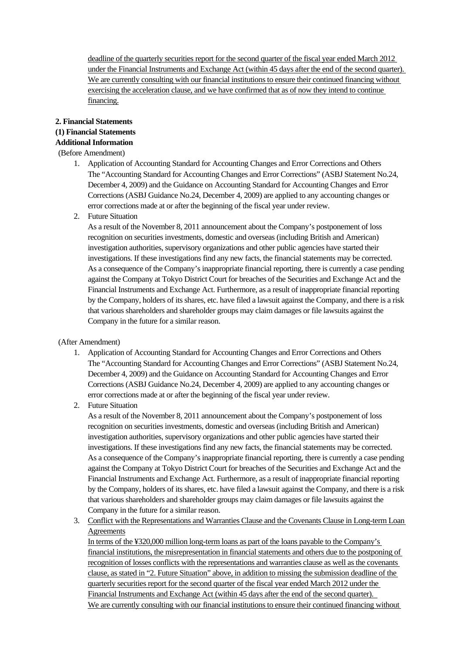deadline of the quarterly securities report for the second quarter of the fiscal year ended March 2012 under the Financial Instruments and Exchange Act (within 45 days after the end of the second quarter). We are currently consulting with our financial institutions to ensure their continued financing without exercising the acceleration clause, and we have confirmed that as of now they intend to continue financing.

## **2. Financial Statements**

## **(1) Financial Statements**

#### **Additional Information**

(Before Amendment)

- 1. Application of Accounting Standard for Accounting Changes and Error Corrections and Others The "Accounting Standard for Accounting Changes and Error Corrections" (ASBJ Statement No.24, December 4, 2009) and the Guidance on Accounting Standard for Accounting Changes and Error Corrections (ASBJ Guidance No.24, December 4, 2009) are applied to any accounting changes or error corrections made at or after the beginning of the fiscal year under review.
- 2. Future Situation

As a result of the November 8, 2011 announcement about the Company's postponement of loss recognition on securities investments, domestic and overseas (including British and American) investigation authorities, supervisory organizations and other public agencies have started their investigations. If these investigations find any new facts, the financial statements may be corrected. As a consequence of the Company's inappropriate financial reporting, there is currently a case pending against the Company at Tokyo District Court for breaches of the Securities and Exchange Act and the Financial Instruments and Exchange Act. Furthermore, as a result of inappropriate financial reporting by the Company, holders of its shares, etc. have filed a lawsuit against the Company, and there is a risk that various shareholders and shareholder groups may claim damages or file lawsuits against the Company in the future for a similar reason.

## (After Amendment)

- 1. Application of Accounting Standard for Accounting Changes and Error Corrections and Others The "Accounting Standard for Accounting Changes and Error Corrections" (ASBJ Statement No.24, December 4, 2009) and the Guidance on Accounting Standard for Accounting Changes and Error Corrections (ASBJ Guidance No.24, December 4, 2009) are applied to any accounting changes or error corrections made at or after the beginning of the fiscal year under review.
- 2. Future Situation

As a result of the November 8, 2011 announcement about the Company's postponement of loss recognition on securities investments, domestic and overseas (including British and American) investigation authorities, supervisory organizations and other public agencies have started their investigations. If these investigations find any new facts, the financial statements may be corrected. As a consequence of the Company's inappropriate financial reporting, there is currently a case pending against the Company at Tokyo District Court for breaches of the Securities and Exchange Act and the Financial Instruments and Exchange Act. Furthermore, as a result of inappropriate financial reporting by the Company, holders of its shares, etc. have filed a lawsuit against the Company, and there is a risk that various shareholders and shareholder groups may claim damages or file lawsuits against the Company in the future for a similar reason.

3. Conflict with the Representations and Warranties Clause and the Covenants Clause in Long-term Loan Agreements

In terms of the ¥320,000 million long-term loans as part of the loans payable to the Company's financial institutions, the misrepresentation in financial statements and others due to the postponing of recognition of losses conflicts with the representations and warranties clause as well as the covenants clause, as stated in "2. Future Situation" above, in addition to missing the submission deadline of the quarterly securities report for the second quarter of the fiscal year ended March 2012 under the Financial Instruments and Exchange Act (within 45 days after the end of the second quarter). We are currently consulting with our financial institutions to ensure their continued financing without